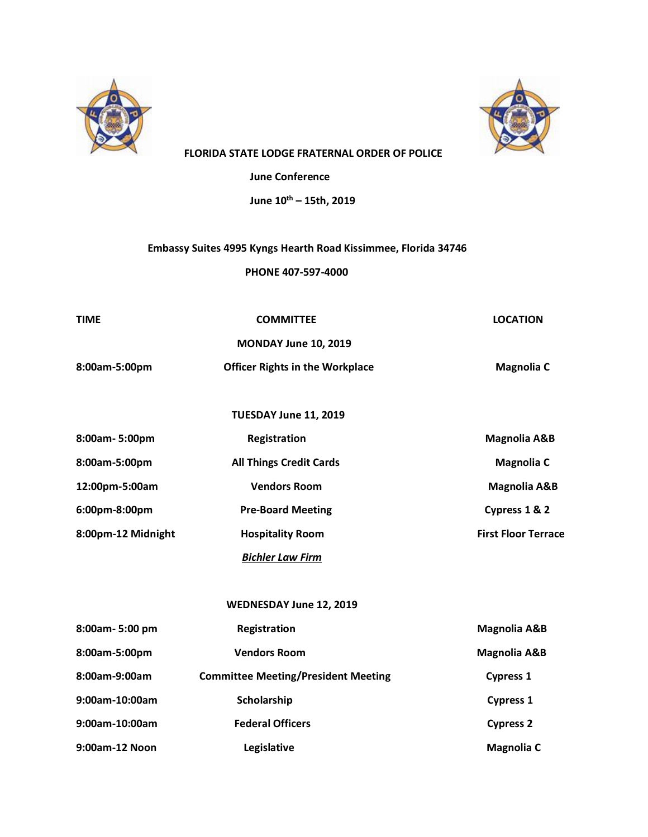



## **FLORIDA STATE LODGE FRATERNAL ORDER OF POLICE**

 **June Conference** 

 **June 10th – 15th, 2019**

## **Embassy Suites 4995 Kyngs Hearth Road Kissimmee, Florida 34746**

 **PHONE 407-597-4000**

| <b>TIME</b>        | <b>COMMITTEE</b>                       | <b>LOCATION</b>            |
|--------------------|----------------------------------------|----------------------------|
|                    | MONDAY June 10, 2019                   |                            |
| 8:00am-5:00pm      | <b>Officer Rights in the Workplace</b> | <b>Magnolia C</b>          |
|                    |                                        |                            |
|                    | TUESDAY June 11, 2019                  |                            |
| 8:00am-5:00pm      | Registration                           | <b>Magnolia A&amp;B</b>    |
| 8:00am-5:00pm      | <b>All Things Credit Cards</b>         | <b>Magnolia C</b>          |
| 12:00pm-5:00am     | <b>Vendors Room</b>                    | <b>Magnolia A&amp;B</b>    |
| 6:00pm-8:00pm      | <b>Pre-Board Meeting</b>               | Cypress 1 & 2              |
| 8:00pm-12 Midnight | <b>Hospitality Room</b>                | <b>First Floor Terrace</b> |
|                    | <b>Bichler Law Firm</b>                |                            |

## **WEDNESDAY June 12, 2019**

| 8:00am-5:00 pm    | <b>Registration</b>                        | <b>Magnolia A&amp;B</b> |
|-------------------|--------------------------------------------|-------------------------|
| 8:00am-5:00pm     | <b>Vendors Room</b>                        | <b>Magnolia A&amp;B</b> |
| 8:00am-9:00am     | <b>Committee Meeting/President Meeting</b> | <b>Cypress 1</b>        |
| $9:00$ am-10:00am | Scholarship                                | <b>Cypress 1</b>        |
| $9:00$ am-10:00am | <b>Federal Officers</b>                    | <b>Cypress 2</b>        |
| 9:00am-12 Noon    | Legislative                                | <b>Magnolia C</b>       |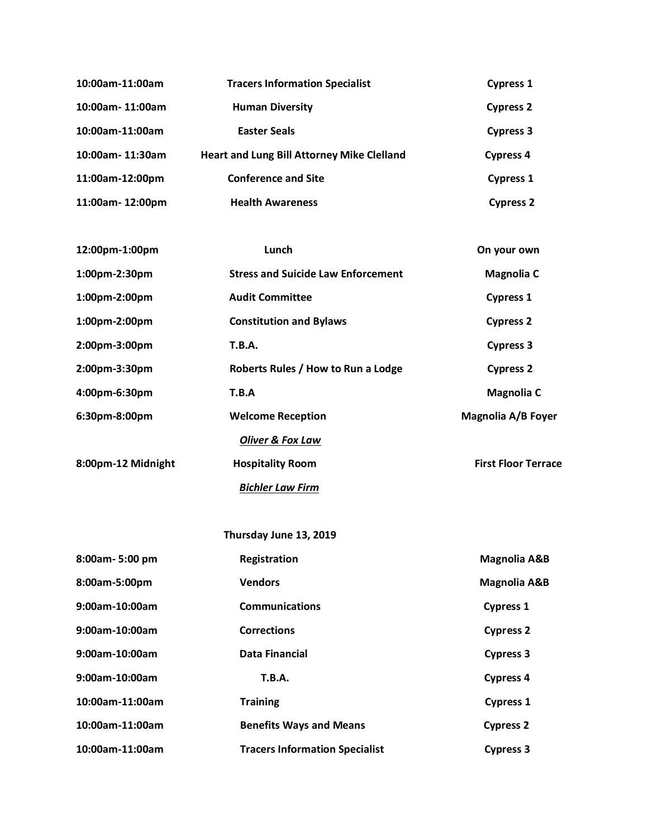| 10:00am-11:00am  | <b>Tracers Information Specialist</b>             | <b>Cypress 1</b> |
|------------------|---------------------------------------------------|------------------|
| 10:00am-11:00am  | <b>Human Diversity</b>                            | <b>Cypress 2</b> |
| 10:00am-11:00am  | <b>Easter Seals</b>                               | <b>Cypress 3</b> |
| 10:00am- 11:30am | <b>Heart and Lung Bill Attorney Mike Clelland</b> | <b>Cypress 4</b> |
| 11:00am-12:00pm  | <b>Conference and Site</b>                        | <b>Cypress 1</b> |
| 11:00am-12:00pm  | <b>Health Awareness</b>                           | <b>Cypress 2</b> |

| 12:00pm-1:00pm     | Lunch                                     | On your own                |
|--------------------|-------------------------------------------|----------------------------|
| 1:00pm-2:30pm      | <b>Stress and Suicide Law Enforcement</b> | <b>Magnolia C</b>          |
| 1:00pm-2:00pm      | <b>Audit Committee</b>                    | <b>Cypress 1</b>           |
| 1:00pm-2:00pm      | <b>Constitution and Bylaws</b>            | <b>Cypress 2</b>           |
| 2:00pm-3:00pm      | <b>T.B.A.</b>                             | <b>Cypress 3</b>           |
| $2:00$ pm-3:30pm   | Roberts Rules / How to Run a Lodge        | <b>Cypress 2</b>           |
| 4:00pm-6:30pm      | T.B.A                                     | <b>Magnolia C</b>          |
| 6:30pm-8:00pm      | <b>Welcome Reception</b>                  | Magnolia A/B Foyer         |
|                    | <b>Oliver &amp; Fox Law</b>               |                            |
| 8:00pm-12 Midnight | <b>Hospitality Room</b>                   | <b>First Floor Terrace</b> |
|                    | <b>Bichler Law Firm</b>                   |                            |

| Thursday June 13, 2019 |                                       |                         |
|------------------------|---------------------------------------|-------------------------|
| 8:00am-5:00 pm         | Registration                          | <b>Magnolia A&amp;B</b> |
| 8:00am-5:00pm          | <b>Vendors</b>                        | <b>Magnolia A&amp;B</b> |
| $9:00$ am-10:00am      | <b>Communications</b>                 | <b>Cypress 1</b>        |
| 9:00am-10:00am         | <b>Corrections</b>                    | <b>Cypress 2</b>        |
| 9:00am-10:00am         | Data Financial                        | <b>Cypress 3</b>        |
| $9:00$ am-10:00am      | <b>T.B.A.</b>                         | <b>Cypress 4</b>        |
| 10:00am-11:00am        | <b>Training</b>                       | <b>Cypress 1</b>        |
| 10:00am-11:00am        | <b>Benefits Ways and Means</b>        | <b>Cypress 2</b>        |
| 10:00am-11:00am        | <b>Tracers Information Specialist</b> | <b>Cypress 3</b>        |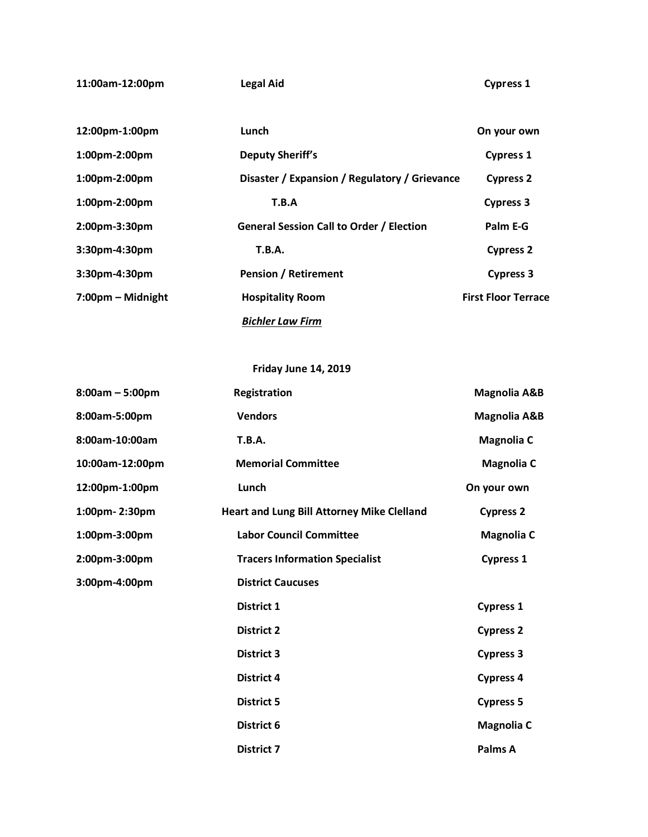**11:00am-12:00pm Legal Aid Cypress 1**

| 12:00pm-1:00pm    | Lunch                                           | On your own                |
|-------------------|-------------------------------------------------|----------------------------|
| $1:00$ pm-2:00pm  | <b>Deputy Sheriff's</b>                         | <b>Cypress 1</b>           |
| $1:00$ pm-2:00pm  | Disaster / Expansion / Regulatory / Grievance   | <b>Cypress 2</b>           |
| $1:00$ pm-2:00pm  | T.B.A                                           | <b>Cypress 3</b>           |
| 2:00pm-3:30pm     | <b>General Session Call to Order / Election</b> | Palm E-G                   |
| 3:30pm-4:30pm     | <b>T.B.A.</b>                                   | <b>Cypress 2</b>           |
| 3:30pm-4:30pm     | <b>Pension / Retirement</b>                     | <b>Cypress 3</b>           |
| 7:00pm - Midnight | <b>Hospitality Room</b>                         | <b>First Floor Terrace</b> |
|                   | <b>Bichler Law Firm</b>                         |                            |

 **Friday June 14, 2019**

| $8:00am - 5:00pm$ | Registration                                      | <b>Magnolia A&amp;B</b> |
|-------------------|---------------------------------------------------|-------------------------|
| 8:00am-5:00pm     | <b>Vendors</b>                                    | <b>Magnolia A&amp;B</b> |
| 8:00am-10:00am    | <b>T.B.A.</b>                                     | <b>Magnolia C</b>       |
| 10:00am-12:00pm   | <b>Memorial Committee</b>                         | <b>Magnolia C</b>       |
| 12:00pm-1:00pm    | Lunch                                             | On your own             |
| 1:00pm-2:30pm     | <b>Heart and Lung Bill Attorney Mike Clelland</b> | <b>Cypress 2</b>        |
| 1:00pm-3:00pm     | <b>Labor Council Committee</b>                    | <b>Magnolia C</b>       |
| 2:00pm-3:00pm     | <b>Tracers Information Specialist</b>             | <b>Cypress 1</b>        |
| 3:00pm-4:00pm     | <b>District Caucuses</b>                          |                         |
|                   | District 1                                        | <b>Cypress 1</b>        |
|                   | <b>District 2</b>                                 | <b>Cypress 2</b>        |
|                   | <b>District 3</b>                                 | <b>Cypress 3</b>        |
|                   | <b>District 4</b>                                 | <b>Cypress 4</b>        |
|                   | <b>District 5</b>                                 | <b>Cypress 5</b>        |
|                   | District 6                                        | <b>Magnolia C</b>       |
|                   | <b>District 7</b>                                 | Palms A                 |